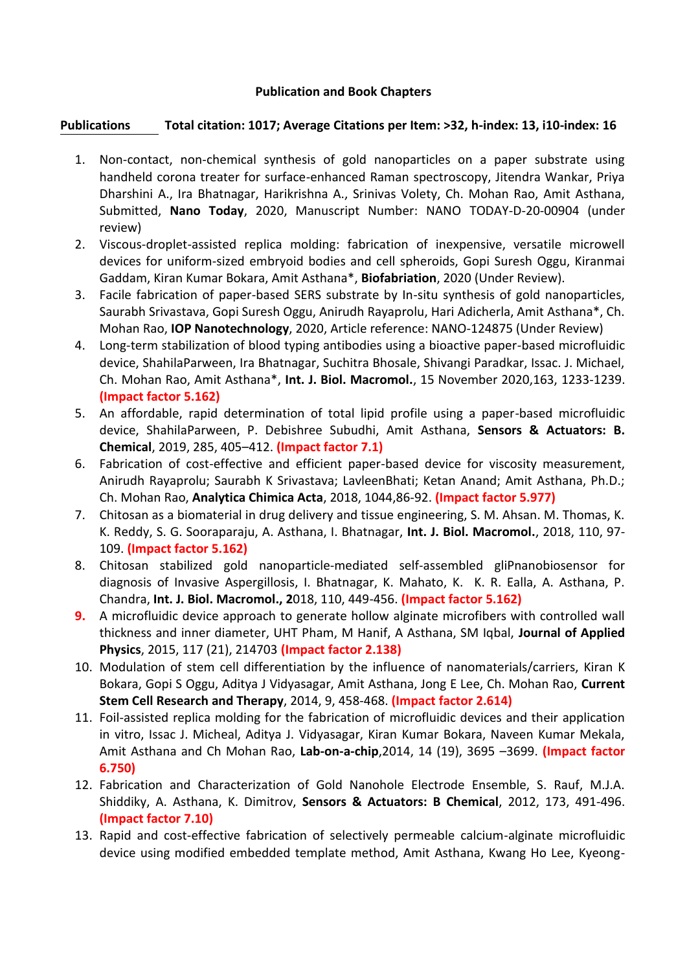## **Publication and Book Chapters**

## **Publications Total citation: 1017; Average Citations per Item: >32, h-index: 13, i10-index: 16**

- 1. Non-contact, non-chemical synthesis of gold nanoparticles on a paper substrate using handheld corona treater for surface-enhanced Raman spectroscopy, Jitendra Wankar, Priya Dharshini A., Ira Bhatnagar, Harikrishna A., Srinivas Volety, Ch. Mohan Rao, Amit Asthana, Submitted, **Nano Today**, 2020, Manuscript Number: NANO TODAY-D-20-00904 (under review)
- 2. Viscous-droplet-assisted replica molding: fabrication of inexpensive, versatile microwell devices for uniform-sized embryoid bodies and cell spheroids, Gopi Suresh Oggu, Kiranmai Gaddam, Kiran Kumar Bokara, Amit Asthana\*, **Biofabriation**, 2020 (Under Review).
- 3. Facile fabrication of paper-based SERS substrate by In-situ synthesis of gold nanoparticles, Saurabh Srivastava, Gopi Suresh Oggu, Anirudh Rayaprolu, Hari Adicherla, Amit Asthana\*, Ch. Mohan Rao, **IOP Nanotechnology**, 2020, Article reference: NANO-124875 (Under Review)
- 4. Long-term stabilization of blood typing antibodies using a bioactive paper-based microfluidic device, ShahilaParween, Ira Bhatnagar, Suchitra Bhosale, Shivangi Paradkar, Issac. J. Michael, Ch. Mohan Rao, Amit Asthana\*, **Int. J. Biol. Macromol.**, 15 November 2020,163, 1233-1239. **(Impact factor 5.162)**
- 5. An affordable, rapid determination of total lipid profile using a paper-based microfluidic device, ShahilaParween, P. Debishree Subudhi, Amit Asthana, **Sensors & Actuators: B. Chemical**, 2019, 285, 405–412. **(Impact factor 7.1)**
- 6. Fabrication of cost-effective and efficient paper-based device for viscosity measurement, Anirudh Rayaprolu; Saurabh K Srivastava; LavleenBhati; Ketan Anand; Amit Asthana, Ph.D.; Ch. Mohan Rao, **Analytica Chimica Acta**, 2018, 1044,86-92. **(Impact factor 5.977)**
- 7. Chitosan as a biomaterial in drug delivery and tissue engineering, S. M. Ahsan. M. Thomas, K. K. Reddy, S. G. Sooraparaju, A. Asthana, I. Bhatnagar, **Int. J. Biol. Macromol.**, 2018, 110, 97- 109. **(Impact factor 5.162)**
- 8. Chitosan stabilized gold nanoparticle-mediated self-assembled gliPnanobiosensor for diagnosis of Invasive Aspergillosis, I. Bhatnagar, K. Mahato, K. K. R. Ealla, A. Asthana, P. Chandra, **Int. J. Biol. Macromol., 2**018, 110, 449-456. **(Impact factor 5.162)**
- **9.** A microfluidic device approach to generate hollow alginate microfibers with controlled wall thickness and inner diameter, UHT Pham, M Hanif, A Asthana, SM Iqbal, **Journal of Applied Physics**, 2015, 117 (21), 214703 **(Impact factor 2.138)**
- 10. Modulation of stem cell differentiation by the influence of nanomaterials/carriers, Kiran K Bokara, Gopi S Oggu, Aditya J Vidyasagar, Amit Asthana, Jong E Lee, Ch. Mohan Rao, **Current Stem Cell Research and Therapy**, 2014, 9, 458-468. **(Impact factor 2.614)**
- 11. Foil-assisted replica molding for the fabrication of microfluidic devices and their application in vitro, Issac J. Micheal, Aditya J. Vidyasagar, Kiran Kumar Bokara, Naveen Kumar Mekala, Amit Asthana and Ch Mohan Rao, **Lab-on-a-chip**,2014, 14 (19), 3695 –3699. **(Impact factor 6.750)**
- 12. Fabrication and Characterization of Gold Nanohole Electrode Ensemble, S. Rauf, M.J.A. Shiddiky, A. Asthana, K. Dimitrov, **Sensors & Actuators: B Chemical**, 2012, 173, 491-496. **(Impact factor 7.10)**
- 13. Rapid and cost-effective fabrication of selectively permeable calcium-alginate microfluidic device using modified embedded template method, Amit Asthana, Kwang Ho Lee, Kyeong-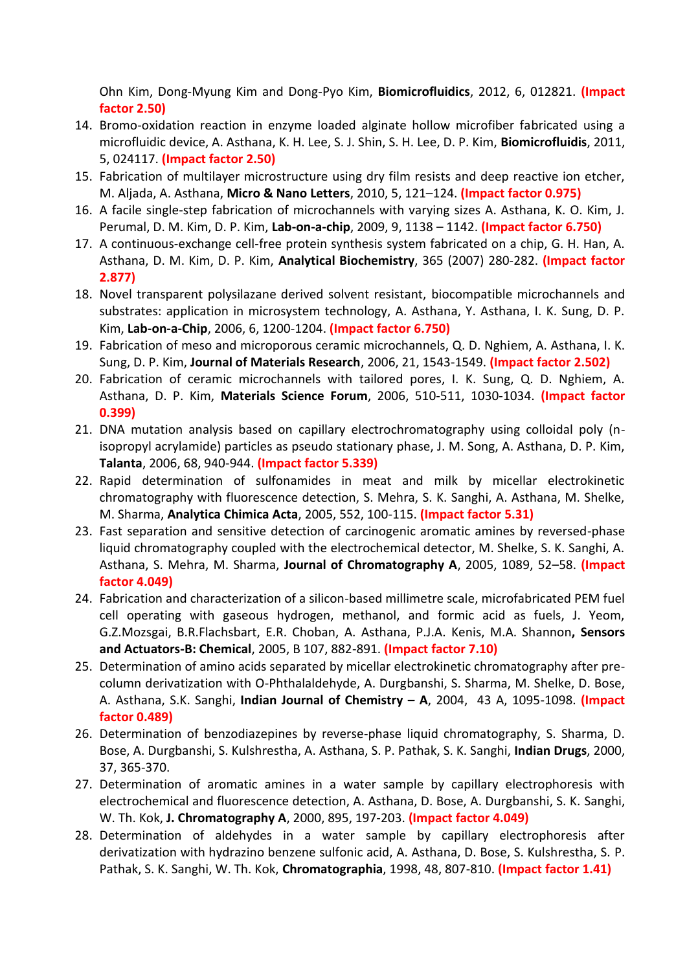Ohn Kim, Dong-Myung Kim and Dong-Pyo Kim, **Biomicrofluidics**, 2012, 6, 012821. **(Impact factor 2.50)**

- 14. Bromo-oxidation reaction in enzyme loaded alginate hollow microfiber fabricated using a microfluidic device, A. Asthana, K. H. Lee, S. J. Shin, S. H. Lee, D. P. Kim, **Biomicrofluidis**, 2011, 5, 024117. **(Impact factor 2.50)**
- 15. Fabrication of multilayer microstructure using dry film resists and deep reactive ion etcher, M. Aljada, A. Asthana, **Micro & Nano Letters**, 2010, 5, 121–124. **(Impact factor 0.975)**
- 16. A facile single-step fabrication of microchannels with varying sizes A. Asthana, K. O. Kim, J. Perumal, D. M. Kim, D. P. Kim, **Lab-on-a-chip**, 2009, 9, 1138 – 1142. **(Impact factor 6.750)**
- 17. A continuous-exchange cell-free protein synthesis system fabricated on a chip, G. H. Han, A. Asthana, D. M. Kim, D. P. Kim, **Analytical Biochemistry**, 365 (2007) 280-282. **(Impact factor 2.877)**
- 18. Novel transparent polysilazane derived solvent resistant, biocompatible microchannels and substrates: application in microsystem technology, A. Asthana, Y. Asthana, I. K. Sung, D. P. Kim, **Lab-on-a-Chip**, 2006, 6, 1200-1204. **(Impact factor 6.750)**
- 19. Fabrication of meso and microporous ceramic microchannels, Q. D. Nghiem, A. Asthana, I. K. Sung, D. P. Kim, **Journal of Materials Research**, 2006, 21, 1543-1549. **(Impact factor 2.502)**
- 20. Fabrication of ceramic microchannels with tailored pores, I. K. Sung, Q. D. Nghiem, A. Asthana, D. P. Kim, **Materials Science Forum**, 2006, 510-511, 1030-1034. **(Impact factor 0.399)**
- 21. DNA mutation analysis based on capillary electrochromatography using colloidal poly (nisopropyl acrylamide) particles as pseudo stationary phase, J. M. Song, A. Asthana, D. P. Kim, **Talanta**, 2006, 68, 940-944. **(Impact factor 5.339)**
- 22. Rapid determination of sulfonamides in meat and milk by micellar electrokinetic chromatography with fluorescence detection, S. Mehra, S. K. Sanghi, A. Asthana, M. Shelke, M. Sharma, **Analytica Chimica Acta**, 2005, 552, 100-115. **(Impact factor 5.31)**
- 23. Fast separation and sensitive detection of carcinogenic aromatic amines by reversed-phase liquid chromatography coupled with the electrochemical detector, M. Shelke, S. K. Sanghi, A. Asthana, S. Mehra, M. Sharma, **Journal of Chromatography A**, 2005, 1089, 52–58. **(Impact factor 4.049)**
- 24. Fabrication and characterization of a silicon-based millimetre scale, microfabricated PEM fuel cell operating with gaseous hydrogen, methanol, and formic acid as fuels, J. Yeom, G.Z.Mozsgai, B.R.Flachsbart, E.R. Choban, A. Asthana, P.J.A. Kenis, M.A. Shannon**, Sensors and Actuators-B: Chemical**, 2005, B 107, 882-891. **(Impact factor 7.10)**
- 25. Determination of amino acids separated by micellar electrokinetic chromatography after precolumn derivatization with O-Phthalaldehyde, A. Durgbanshi, S. Sharma, M. Shelke, D. Bose, A. Asthana, S.K. Sanghi, **Indian Journal of Chemistry – A**, 2004, 43 A, 1095-1098. **(Impact factor 0.489)**
- 26. Determination of benzodiazepines by reverse-phase liquid chromatography, S. Sharma, D. Bose, A. Durgbanshi, S. Kulshrestha, A. Asthana, S. P. Pathak, S. K. Sanghi, **Indian Drugs**, 2000, 37, 365-370.
- 27. Determination of aromatic amines in a water sample by capillary electrophoresis with electrochemical and fluorescence detection, A. Asthana, D. Bose, A. Durgbanshi, S. K. Sanghi, W. Th. Kok, **J. Chromatography A**, 2000, 895, 197-203. **(Impact factor 4.049)**
- 28. Determination of aldehydes in a water sample by capillary electrophoresis after derivatization with hydrazino benzene sulfonic acid, A. Asthana, D. Bose, S. Kulshrestha, S. P. Pathak, S. K. Sanghi, W. Th. Kok, **Chromatographia**, 1998, 48, 807-810. **(Impact factor 1.41)**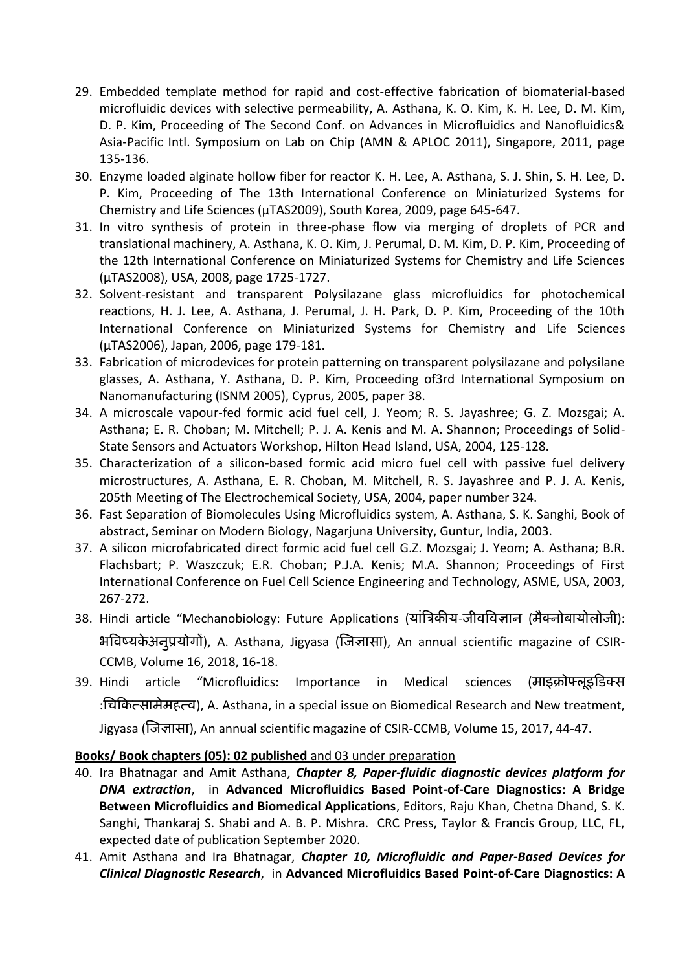- 29. Embedded template method for rapid and cost-effective fabrication of biomaterial-based microfluidic devices with selective permeability, A. Asthana, K. O. Kim, K. H. Lee, D. M. Kim, D. P. Kim, Proceeding of The Second Conf. on Advances in Microfluidics and Nanofluidics& Asia-Pacific Intl. Symposium on Lab on Chip (AMN & APLOC 2011), Singapore, 2011, page 135-136.
- 30. Enzyme loaded alginate hollow fiber for reactor K. H. Lee, A. Asthana, S. J. Shin, S. H. Lee, D. P. Kim, Proceeding of The 13th International Conference on Miniaturized Systems for Chemistry and Life Sciences (μTAS2009), South Korea, 2009, page 645-647.
- 31. In vitro synthesis of protein in three-phase flow via merging of droplets of PCR and translational machinery, A. Asthana, K. O. Kim, J. Perumal, D. M. Kim, D. P. Kim, Proceeding of the 12th International Conference on Miniaturized Systems for Chemistry and Life Sciences (μTAS2008), USA, 2008, page 1725-1727.
- 32. Solvent-resistant and transparent Polysilazane glass microfluidics for photochemical reactions, H. J. Lee, A. Asthana, J. Perumal, J. H. Park, D. P. Kim, Proceeding of the 10th International Conference on Miniaturized Systems for Chemistry and Life Sciences (μTAS2006), Japan, 2006, page 179-181.
- 33. Fabrication of microdevices for protein patterning on transparent polysilazane and polysilane glasses, A. Asthana, Y. Asthana, D. P. Kim, Proceeding of3rd International Symposium on Nanomanufacturing (ISNM 2005), Cyprus, 2005, paper 38.
- 34. A microscale vapour-fed formic acid fuel cell, J. Yeom; R. S. Jayashree; G. Z. Mozsgai; A. Asthana; E. R. Choban; M. Mitchell; P. J. A. Kenis and M. A. Shannon; Proceedings of Solid-State Sensors and Actuators Workshop, Hilton Head Island, USA, 2004, 125-128.
- 35. Characterization of a silicon-based formic acid micro fuel cell with passive fuel delivery microstructures, A. Asthana, E. R. Choban, M. Mitchell, R. S. Jayashree and P. J. A. Kenis, 205th Meeting of The Electrochemical Society, USA, 2004, paper number 324.
- 36. Fast Separation of Biomolecules Using Microfluidics system, A. Asthana, S. K. Sanghi, Book of abstract, Seminar on Modern Biology, Nagarjuna University, Guntur, India, 2003.
- 37. A silicon microfabricated direct formic acid fuel cell G.Z. Mozsgai; J. Yeom; A. Asthana; B.R. Flachsbart; P. Waszczuk; E.R. Choban; P.J.A. Kenis; M.A. Shannon; Proceedings of First International Conference on Fuel Cell Science Engineering and Technology, ASME, USA, 2003, 267-272.
- 38. Hindi article "Mechanobiology: Future Applications (यांत्रिकीय-जीवविज्ञान (मैक्नोबायोलोजी): भविष्यके अनुप्रयोगों), A. Asthana, Jigyasa (जिज्ञासा), An annual scientific magazine of CSIR-CCMB, Volume 16, 2018, 16-18.
- 39. Hindi article "Microfluidics: Importance in Medical sciences (माइक्रोफ्लूइडिक्स :चिकित्सामेमहत्व), A. Asthana, in a special issue on Biomedical Research and New treatment, Jigyasa (जिज्ञासा), An annual scientific magazine of CSIR-CCMB, Volume 15, 2017, 44-47.

## **Books/ Book chapters (05): 02 published** and 03 under preparation

- 40. Ira Bhatnagar and Amit Asthana, *Chapter 8, Paper-fluidic diagnostic devices platform for DNA extraction*, in **Advanced Microfluidics Based Point-of-Care Diagnostics: A Bridge Between Microfluidics and Biomedical Applications**, Editors, Raju Khan, Chetna Dhand, S. K. Sanghi, Thankaraj S. Shabi and A. B. P. Mishra. CRC Press, Taylor & Francis Group, LLC, FL, expected date of publication September 2020.
- 41. Amit Asthana and Ira Bhatnagar, *Chapter 10, Microfluidic and Paper-Based Devices for Clinical Diagnostic Research*, in **Advanced Microfluidics Based Point-of-Care Diagnostics: A**